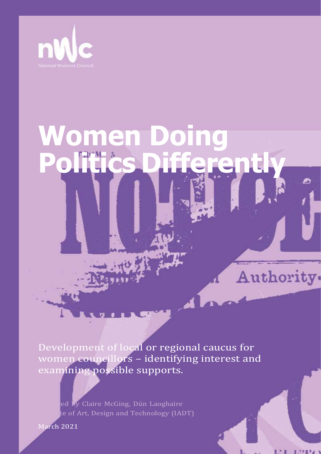

# **Women Politics Differently**

Development of local or regional caucus for women councillors – identifying interest and examining possible supports.

ed by Claire McGing, Dún Laoghaire te of Art, Design and Technology (IADT)

March 2021

Authority.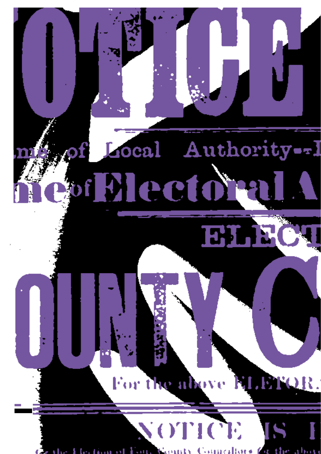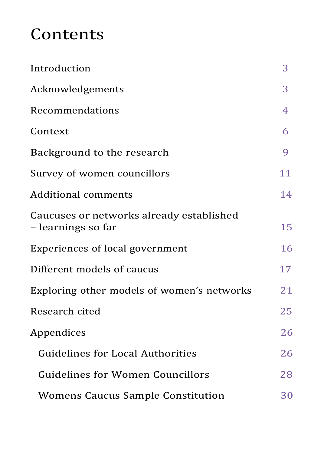# Contents

| Introduction                                                   | 3  |  |
|----------------------------------------------------------------|----|--|
| Acknowledgements                                               | 3  |  |
| Recommendations                                                | 4  |  |
| Context                                                        | 6  |  |
| Background to the research                                     | 9  |  |
| Survey of women councillors                                    | 11 |  |
| <b>Additional comments</b>                                     | 14 |  |
| Caucuses or networks already established<br>– learnings so far | 15 |  |
| Experiences of local government                                | 16 |  |
| Different models of caucus                                     |    |  |
| Exploring other models of women's networks                     |    |  |
| Research cited                                                 |    |  |
| Appendices                                                     | 26 |  |
| <b>Guidelines for Local Authorities</b>                        | 26 |  |
| Guidelines for Women Councillors                               | 28 |  |
| Womens Caucus Sample Constitution                              | 30 |  |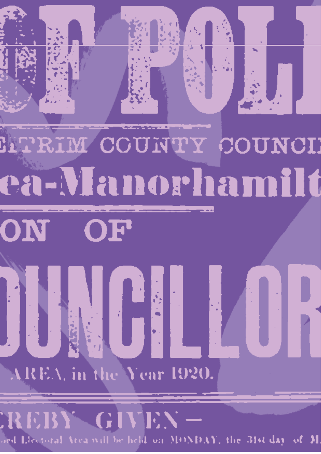

# **LTRIM COUNTY COUNCI** ea-Manorhamilt

# ON OF

AREA, in the Year 1920.

**GIVEN** 'REBY total Area will be held on MONDAY, the 31st day ard 1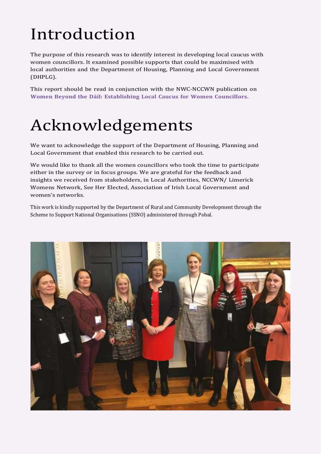# <span id="page-4-0"></span>Introduction

The purpose of this research was to identify interest in developing local caucus with women councillors. It examined possible supports that could be maximised with local authorities and the Department of Housing, Planning and Local Government (DHPLG).

This report should be read in conjunction with the NWC-NCCWN publication on **Women Beyond the Dáil: [Establishing](https://www.nwci.ie/learn/publication/women_beyond_the_dail_a_guide_to_establishing_local_caucus_with_women_counc) Local Caucus for Women Councillors.**

# Acknowledgements

We want to acknowledge the support of the Department of Housing, Planning and Local Government that enabled this research to be carried out.

We would like to thank all the women councillors who took the time to participate either in the survey or in focus groups. We are grateful for the feedback and insights we received from stakeholders, in Local Authorities, NCCWN/ Limerick Womens Network, See Her Elected, Association of Irish Local Government and women's networks.

This work is kindly supported by the Department of Rural and Community Development through the Scheme to Support National Organisations (SSNO) administered through Pobal.

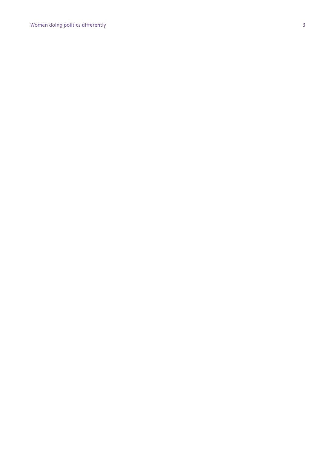Women doing politics differently 3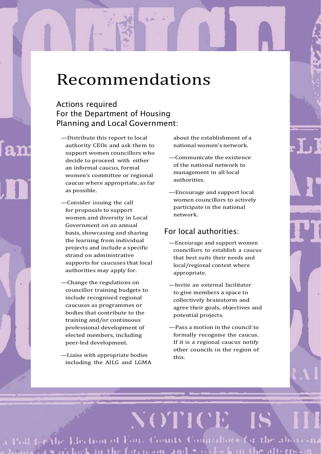# <span id="page-6-0"></span>Recommendations

# Actions required For the Department of Housing Planning and Local Government:

- —Distribute this report to local authority CEOs and ask them to support women councillors who decide to proceed with either an informal caucus, formal women's committee or regional caucus where appropriate, as far as possible.
- —Consider issuing the call for proposals to support women and diversity in Local Government on an annual basis, showcasing and sharing the learning from individual projects and include a specific strand on administrative supports for caucuses that local authorities may apply for.
- —Change the regulations on councillor training budgets to include recognised regional caucuses as programmes or bodies that contribute to the training and/or continuous professional development of elected members, including peer-led development.
- —Liaise with appropriate bodies including the AILG and LGMA

about the establishment of a national women's network.

- —Communicate the existence of the national network to management in all local authorities.
- —Encourage and support local women councillors to actively participate in the national network.

### For local authorities:

- —Encourage and support women councillors to establish a caucus that best suits their needs and local/regional context where appropriate.
- —Invite an external facilitator to give members a space to collectively brainstorm and agree their goals, objectives and potential projects.
- —Pass a motion in the council to formally recognise the caucus. If it is a regional caucus notify other councils in the region of this.

NOTICE IS

a Pall for the Liection of Four County Countainers for the above suidack in the foremost and sociation the aftern-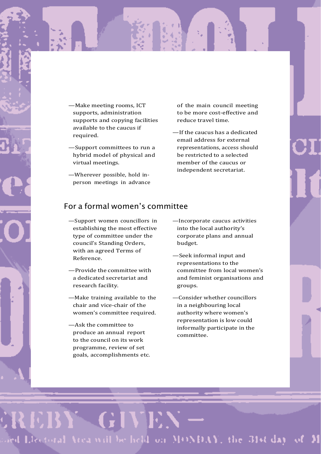- —Make meeting rooms, ICT supports, administration supports and copying facilities available to the caucus if required.
- —Support committees to run a hybrid model of physical and virtual meetings.
- —Wherever possible, hold inperson meetings in advance

of the main council meeting to be more cost-effective and reduce travel time.

—If the caucus has a dedicated email address for external representations, access should be restricted to a selected member of the caucus or independent secretariat.

### For a formal women's committee

- —Support women councillors in establishing the most effective type of committee under the council's Standing Orders, with an agreed Terms of Reference.
- —Provide the committee with a dedicated secretariat and research facility.
- —Make training available to the chair and vice-chair of the women's committee required.
- —Ask the committee to produce an annual report to the council on its work programme, review of set goals, accomplishments etc.

CREBY GIVEN –

aded Licensial Area will be held on MONDAY, the 31st day of M

- —Incorporate caucus activities into the local authority's corporate plans and annual budget.
- —Seek informal input and representations to the committee from local women's and feminist organisations and groups.
- —Consider whether councillors in a neighbouring local authority where women's representation is low could informally participate in the committee.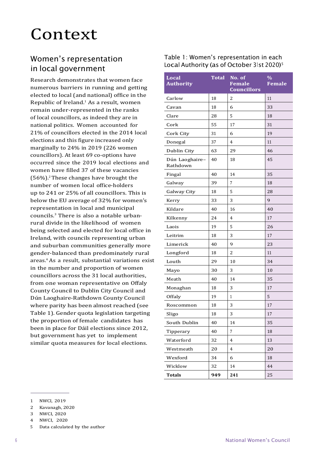# <span id="page-9-0"></span>Context

# Women's representation in local government

Research demonstrates that women face numerous barriers in running and getting elected to local (and national) office in the Republic of Ireland.<sup>1</sup> As a result, women remain under-represented in the ranks of local councillors, as indeed they are in national politics. Women accounted for 21% of councillors elected in the 2014 local elections and this figure increased only marginally to 24% in 2019 (226 women councillors). At least 69 co-options have occurred since the 2019 local elections and women have filled 37 of these vacancies  $(56%)$ .<sup>2</sup> These changes have brought the number of women local office-holders up to 241 or 25% of all councillors. This is below the EU average of 32% for women's representation in local and municipal councils.3 There is also a notable urbanrural divide in the likelihood of women being selected and elected for local office in Ireland, with councils representing urban and suburban communities generally more gender-balanced than predominately rural areas.<sup>4</sup> As a result, substantial variations exist in the number and proportion of women councillors across the 31 local authorities, from one woman representative on Offaly County Council to Dublin City Council and Dún Laoghaire-Rathdown County Council where parity has been almost reached (see Table 1). Gender quota legislation targeting the proportion of female candidates has been in place for Dáil elections since 2012, but government has yet to implement similar quota measures for local elections.

#### Table 1: Women's representation in each Local Authority (as of October 31st 2020)<sup>5</sup>

| <b>Local</b><br><b>Authority</b> | <b>Total</b> | No. of<br><b>Female</b><br><b>Councillors</b> | $\frac{0}{0}$<br><b>Female</b> |
|----------------------------------|--------------|-----------------------------------------------|--------------------------------|
| Carlow                           | 18           | 2                                             | 11                             |
| Cavan                            | 18           | 6                                             | 33                             |
| Clare                            | 28           | 5                                             | 18                             |
| Cork                             | 55           | 17                                            | 31                             |
| Cork City                        | 31           | 6                                             | 19                             |
| Donegal                          | 37           | $\overline{4}$                                | 11                             |
| Dublin City                      | 63           | 29                                            | 46                             |
| Dún Laoghaire-<br>Rathdown       | 40           | 18                                            | 45                             |
| Fingal                           | 40           | 14                                            | 35                             |
| Galway                           | 39           | 7                                             | 18                             |
| Galway City                      | 18           | 5                                             | 28                             |
| Kerry                            | 33           | 3                                             | 9                              |
| Kildare                          | 40           | 16                                            | 40                             |
| Kilkenny                         | 24           | 4                                             | 17                             |
| Laois                            | 19           | 5                                             | 26                             |
| Leitrim                          | 18           | 3                                             | 17                             |
| Limerick                         | 40           | 9                                             | 23                             |
| Longford                         | 18           | 2                                             | 11                             |
| Louth                            | 29           | 10                                            | 34                             |
| Mayo                             | 30           | 3                                             | 10                             |
| Meath                            | 40           | 14                                            | 35                             |
| Monaghan                         | 18           | 3                                             | 17                             |
| Offaly                           | 19           | 1                                             | 5                              |
| Roscommon                        | 18           | 3                                             | 17                             |
| Sligo                            | 18           | 3                                             | 17                             |
| South Dublin                     | 40           | 14                                            | 35                             |
| Tipperary                        | 40           | $\overline{7}$                                | 18                             |
| Waterford                        | 32           | $\overline{4}$                                | 13                             |
| Westmeath                        | 20           | 4                                             | 20                             |
| Wexford                          | 34           | 6                                             | 18                             |
| Wicklow                          | 32           | 14                                            | 44                             |
| <b>Totals</b>                    | 949          | 241                                           | 25                             |

- 2 Kavanagh, 2020
- 3 NWCI, 2020
- 4 NWCI, 2020
- 5 Data calculated by the author

<sup>1</sup> NWCI, 2019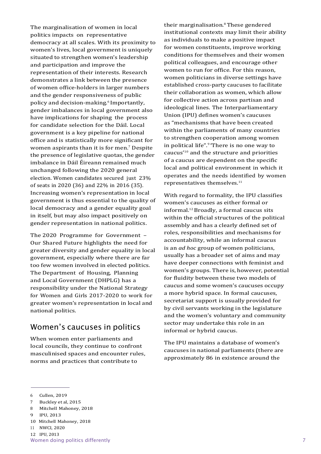The marginalisation of women in local politics impacts on representative democracy at all scales. With its proximity to women's lives, local government is uniquely situated to strengthen women's leadership and participation and improve the representation of their interests. Research demonstrates a link between the presence of women office-holders in larger numbers and the gender responsiveness of public policy and decision-making.<sup>6</sup> Importantly, gender imbalances in local government also have implications for shaping the process for candidate selection for the Dáil. Local government is a key pipeline for national office and is statistically more significant for women aspirants than it is for men.<sup>7</sup> Despite the presence of legislative quotas, the gender imbalance in Dáil Éireann remained much unchanged following the 2020 general election. Women candidates secured just 23% of seats in 2020 (36) and 22% in 2016 (35). Increasing women's representation in local government is thus essential to the quality of local democracy and a gender equality goal in itself, but may also impact positively on gender representation in national politics.

The 2020 Programme for Government – Our Shared Future highlights the need for greater diversity and gender equality in local government, especially where there are far too few women involved in elected politics. The Department of Housing, Planning and Local Government (DHPLG) has a responsibility under the National Strategy for Women and Girls 2017-2020 to work for greater women's representation in local and national politics.

### Women's caucuses in politics

When women enter parliaments and local councils, they continue to confront masculinised spaces and encounter rules, norms and practices that contribute to

their marginalisation.<sup>8</sup> These gendered institutional contexts may limit their ability as individuals to make a positive impact for women constituents, improve working conditions for themselves and their women political colleagues, and encourage other women to run for office. For this reason, women politicians in diverse settings have established cross-party caucuses to facilitate their collaboration as women, which allow for collective action across partisan and ideological lines. The Interparliamentary Union (IPU) defines women's caucuses as "mechanisms that have been created within the parliaments of many countries to strengthen cooperation among women in political life".<sup>9</sup> 'There is no one way to caucus'10 and the structure and priorities of a caucus are dependent on the specific local and political environment in which it operates and the needs identified by women representatives themselves.<sup>11</sup>

With regard to formality, the IPU classifies women's caucuses as either formal or informal.<sup>12</sup> Broadly, a formal caucus sits within the official structures of the political assembly and has a clearly defined set of roles, responsibilities and mechanisms for accountability, while an informal caucus is an *ad hoc* group of women politicians, usually has a broader set of aims and may have deeper connections with feminist and women's groups. There is, however, potential for fluidity between these two models of caucus and some women's caucuses occupy a more hybrid space. In formal caucuses, secretariat support is usually provided for by civil servants working in the legislature and the women's voluntary and community sector may undertake this role in an informal or hybrid caucus.

The IPU maintains a database of women's caucuses in national parliaments (there are approximately 86 in existence around the

<sup>6</sup> Cullen, 2019

<sup>7</sup> Buckley et al, 2015

<sup>8</sup> Mitchell Mahoney, 2018

<sup>9</sup> IPU, 2013

<sup>10</sup> Mitchell Mahoney, 2018

<sup>11</sup> NWCI, 2020

<sup>12</sup> IPU, 2013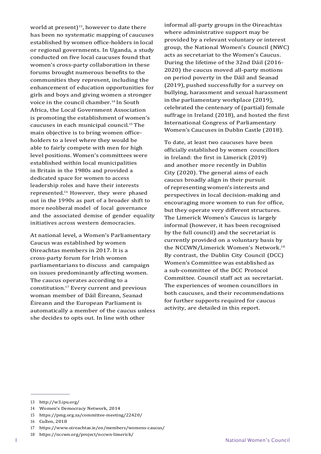world at present $]$ <sup>13</sup>, however to date there has been no systematic mapping of caucuses established by women office-holders in local or regional governments. In Uganda, a study conducted on five local caucuses found that women's cross-party collaboration in these forums brought numerous benefits to the communities they represent, including the enhancement of education opportunities for girls and boys and giving women a stronger voice in the council chamber.<sup>14</sup> In South Africa, the Local Government Association is promoting the establishment of women's caucuses in each municipal council.<sup>15</sup> The main objective is to bring women officeholders to a level where they would be able to fairly compete with men for high level positions. Women's committees were established within local municipalities in Britain in the 1980s and provided a dedicated space for women to access leadership roles and have their interests represented.16 However, they were phased out in the 1990s as part of a broader shift to more neoliberal model of local governance and the associated demise of gender equality initiatives across western democracies.

At national level, a Women's Parliamentary Caucus was established by women Oireachtas members in 2017. It is a cross-party forum for Irish women parliamentarians to discuss and campaign on issues predominantly affecting women. The caucus operates according to a constitution.<sup>17</sup> Every current and previous woman member of Dáil Éireann, Seanad Éireann and the European Parliament is automatically a member of the caucus unless she decides to opts out. In line with other

informal all-party groups in the Oireachtas where administrative support may be provided by a relevant voluntary or interest group, the National Women's Council (NWC) acts as secretariat to the Women's Caucus. During the lifetime of the 32nd Dáil (2016- 2020) the caucus moved all-party motions on period poverty in the Dáil and Seanad (2019), pushed successfully for a survey on bullying, harassment and sexual harassment in the parliamentary workplace (2019), celebrated the centenary of (partial) female suffrage in Ireland (2018), and hosted the first International Congress of Parliamentary Women's Caucuses in Dublin Castle (2018).

To date, at least two caucuses have been officially established by women councillors in Ireland: the first in Limerick (2019) and another more recently in Dublin City (2020). The general aims of each caucus broadly align in their pursuit of representing women's interests and perspectives in local decision-making and encouraging more women to run for office, but they operate very different structures. The Limerick Women's Caucus is largely informal (however, it has been recognised by the full council) and the secretariat is currently provided on a voluntary basis by the NCCWN/Limerick Women's Network.<sup>18</sup> By contrast, the Dublin City Council (DCC) Women's Committee was established as a sub-committee of the DCC Protocol Committee. Council staff act as secretariat. The experiences of women councillors in both caucuses, and their recommendations for further supports required for caucus activity, are detailed in this report.

<sup>13</sup> <http://w3.ipu.org/>

<sup>14</sup> Women's Democracy Network, 2014

<sup>15</sup> https://pmg.org.za/committee-meeting/22420/

<sup>16</sup> Cullen, 2018

<sup>17</sup> https:/[/www.oireachtas.ie/en/members/womens-caucus/](http://www.oireachtas.ie/en/members/womens-caucus/)

<sup>18</sup> https://nccwn.org/project/nccwn-limerick/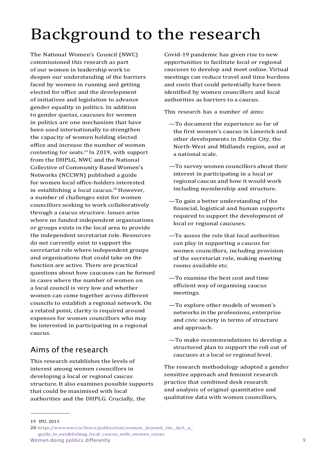# <span id="page-12-0"></span>Background to the research

The National Women's Council (NWC) commissioned this research as part of our women in leadership work to deepen our understanding of the barriers faced by women in running and getting elected for office and the development of initiatives and legislation to advance gender equality in politics. In addition to gender quotas, caucuses for women in politics are one mechanism that have been used internationally to strengthen the capacity of women holding elected office and increase the number of women contesting for seats.<sup>19</sup> In 2019, with support from the DHPLG, NWC and the National Collective of Community Based Women's Networks (NCCWN) published a guide for women local office-holders interested in establishing a local caucus.<sup>20</sup> However, a number of challenges exist for women councillors seeking to work collaboratively through a caucus structure. Issues arise where no funded independent organisations or groups exists in the local area to provide the independent secretariat role. Resources do not currently exist to support the secretariat role where independent groups and organisations that could take on the function are active. There are practical questions about how caucuses can be formed in cases where the number of women on a local council is very low and whether women can come together across different councils to establish a regional network. On a related point, clarity is required around expenses for women councillors who may be interested in participating in a regional caucus.

# Aims of the research

This research establishes the levels of interest among women councillors in developing a local or regional caucus structure. It also examines possible supports that could be maximised with local authorities and the DHPLG. Crucially, the

Covid-19 pandemic has given rise to new opportunities to facilitate local or regional caucuses to develop and meet online. Virtual meetings can reduce travel and time burdens and costs that could potentially have been identified by women councillors and local authorities as barriers to a caucus.

This research has a number of aims:

- —To document the experience so far of the first women's caucus in Limerick and other developments in Dublin City, the North-West and Midlands region, and at a national scale.
- —To survey women councillors about their interest in participating in a local or regional caucus and how it would work including membership and structure.
- —To gain a better understanding of the financial, logistical and human supports required to support the development of local or regional caucuses.
- —To assess the role that local authorities can play in supporting a caucus for women councillors, including provision of the secretariat role, making meeting rooms available etc.
- —To examine the best cost and time efficient way of organising caucus meetings.
- —To explore other models of women's networks in the professions, enterprise and civic society in terms of structure and approach.
- —To make recommendations to develop a structured plan to support the roll out of caucuses at a local or regional level.

The research methodology adopted a gender sensitive approach and feminist research practice that combined desk research and analysis of original quantitative and qualitative data with women councillors,

<sup>19</sup> IPU, 2013

Women doing politics differently and the set of the set of the set of the set of the set of the set of the set of the set of the set of the set of the set of the set of the set of the set of the set of the set of the set o <sup>20</sup> https:/[/www.nwci.ie/learn/publication/women\\_beyond\\_the\\_dail\\_a\\_](http://www.nwci.ie/learn/publication/women_beyond_the_dail_a_) guide\_to\_establishing\_local\_caucus\_with\_women\_counc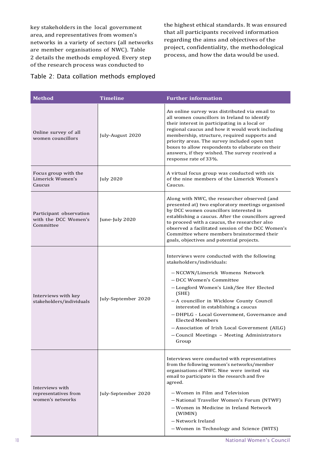key stakeholders in the local government area, and representatives from women's networks in a variety of sectors (all networks are member organisations of NWC). Table 2 details the methods employed. Every step of the research process was conducted to

the highest ethical standards. It was ensured that all participants received information regarding the aims and objectives of the project, confidentiality, the methodological process, and how the data would be used.

#### Table 2: Data collation methods employed

| <b>Method</b>                                                | <b>Timeline</b>     | <b>Further information</b>                                                                                                                                                                                                                                                                                                                                                                                                                                       |
|--------------------------------------------------------------|---------------------|------------------------------------------------------------------------------------------------------------------------------------------------------------------------------------------------------------------------------------------------------------------------------------------------------------------------------------------------------------------------------------------------------------------------------------------------------------------|
| Online survey of all<br>women councillors                    | July-August 2020    | An online survey was distributed via email to<br>all women councillors in Ireland to identify<br>their interest in participating in a local or<br>regional caucus and how it would work including<br>membership, structure, required supports and<br>priority areas. The survey included open text<br>boxes to allow respondents to elaborate on their<br>answers, if they wished. The survey received a<br>response rate of 33%.                                |
| Focus group with the<br>Limerick Women's<br>Caucus           | <b>July 2020</b>    | A virtual focus group was conducted with six<br>of the nine members of the Limerick Women's<br>Caucus.                                                                                                                                                                                                                                                                                                                                                           |
| Participant observation<br>with the DCC Women's<br>Committee | June-July 2020      | Along with NWC, the researcher observed (and<br>presented at) two exploratory meetings organised<br>by DCC women councillors interested in<br>establishing a caucus. After the councillors agreed<br>to proceed with a caucus, the researcher also<br>observed a facilitated session of the DCC Women's<br>Committee where members brainstormed their<br>goals, objectives and potential projects.                                                               |
| Interviews with key<br>stakeholders/individuals              | July-September 2020 | Interviews were conducted with the following<br>stakeholders/individuals:<br>- NCCWN/Limerick Womens Network<br>- DCC Women's Committee<br>- Longford Women's Link/See Her Elected<br>(SHE)<br>- A councillor in Wicklow County Council<br>interested in establishing a caucus<br>- DHPLG - Local Government, Governance and<br><b>Elected Members</b><br>- Association of Irish Local Government (AILG)<br>- Council Meetings - Meeting Administrators<br>Group |
| Interviews with<br>representatives from<br>women's networks  | July-September 2020 | Interviews were conducted with representatives<br>from the following women's networks/member<br>organisations of NWC. Nine were invited via<br>email to participate in the research and five<br>agreed.<br>- Women in Film and Television<br>- National Traveller Women's Forum (NTWF)<br>- Women in Medicine in Ireland Network<br>(WIMIN)<br>- Network Ireland<br>- Women in Technology and Science (WITS)                                                     |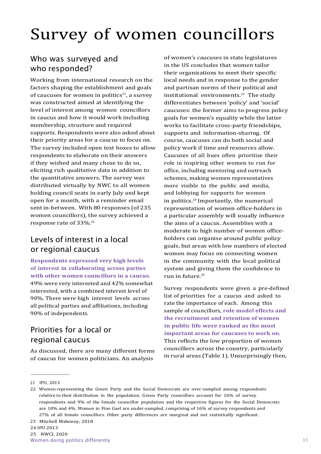# <span id="page-14-0"></span>Survey of women councillors

### Who was surveyed and who responded?

Working from international research on the factors shaping the establishment and goals of caucuses for women in politics<sup>21</sup>, a survey was constructed aimed at identifying the level of interest among women councillors in caucus and how it would work including membership, structure and required supports. Respondents were also asked about their priority areas for a caucus to focus on. The survey included open text boxes to allow respondents to elaborate on their answers if they wished and many chose to do so, eliciting rich qualitative data in addition to the quantitative answers. The survey was distributed virtually by NWC to all women holding council seats in early July and kept open for a month, with a reminder email sent in-between. With 80 responses (of 235 women councillors), the survey achieved a response rate of 33%.<sup>22</sup>

# Levels of interest in a local or regional caucus

**Respondents expressed very high levels of interest in collaborating across parties with other women councillors in a caucus.** 49% were very interested and 42% somewhat interested, with a combined interest level of 90%. There were high interest levels across all political parties and affiliations, including 90% of independents.

### Priorities for a local or regional caucus

As discussed, there are many different forms of caucus for women politicians. An analysis

of women's caucuses in state legislatures in the US concludes that women tailor their organisations to meet their specific local needs and in response to the gender and partisan norms of their political and institutional environments.<sup>23</sup> The study differentiates between 'policy' and 'social' caucuses: the former aims to progress policy goals for women's equality while the latter works to facilitate cross-party friendships, supports and information-sharing. Of course, caucuses can do both social and policy work if time and resources allow. Caucuses of all hues often prioritise their role in inspiring other women to run for office, including mentoring and outreach schemes, making women representatives more visible to the public and media, and lobbying for supports for women in politics.<sup>24</sup> Importantly, the numerical representation of women office-holders in a particular assembly will usually influence the aims of a caucus. Assemblies with a moderate to high number of women officeholders can organise around public policy goals, but areas with low numbers of elected women may focus on connecting women in the community with the local political system and giving them the confidence to run in future $25$ 

Survey respondents were given a pre-defined list of priorities for a caucus and asked to rate the importance of each. Among this sample of councillors, **role model effects and the recruitment and retention of women in public life were ranked as the most important areas for caucuses to work on.** This reflects the low proportion of women councillors across the country, particularly in rural areas (Table 1). Unsurprisingly then,

<sup>21</sup> IPU, 2013

<sup>22</sup> Women representing the Green Party and the Social Democrats are over-sampled among respondents relative to their distribution in the population. Green Party councillors account for 16% of survey respondents and 9% of the female councillor population and the respective figures for the Social Democrats are 10% and 4%. Women in Fine Gael are under-sampled, comprising of 16% of survey respondents and 27% of all female councillors. Other party differences are marginal and not statistically significant.

<sup>23</sup> Mitchell Mahoney, 2018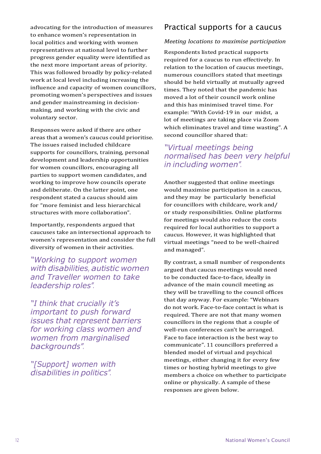advocating for the introduction of measures to enhance women's representation in local politics and working with women representatives at national level to further progress gender equality were identified as the next more important areas of priority. This was followed broadly by policy-related work at local level including increasing the influence and capacity of women councillors, promoting women's perspectives and issues and gender mainstreaming in decisionmaking, and working with the civic and voluntary sector.

Responses were asked if there are other areas that a women's caucus could prioritise. The issues raised included childcare supports for councillors, training, personal development and leadership opportunities for women councillors, encouraging all parties to support women candidates, and working to improve how councils operate and deliberate. On the latter point, one respondent stated a caucus should aim for "more feminist and less hierarchical structures with more collaboration".

Importantly, respondents argued that caucuses take an intersectional approach to women's representation and consider the full diversity of women in their activities.

*"Working to support women with disabilities, autistic women and Traveller women to take leadership roles".*

*"I think that crucially it's important to push forward issues that represent barriers for working class women and women from marginalised backgrounds".*

*"[Support] women with disabilities in politics".*

# Practical supports for a caucus

#### *Meeting locations to maximise participation*

Respondents listed practical supports required for a caucus to run effectively. In relation to the location of caucus meetings, numerous councillors stated that meetings should be held virtually at mutually agreed times. They noted that the pandemic has moved a lot of their council work online and this has minimised travel time. For example: "With Covid-19 in our midst, a lot of meetings are taking place via Zoom which eliminates travel and time wasting". A second councillor shared that:

### *"Virtual meetings being normalised has been very helpful in including women".*

Another suggested that online meetings would maximise participation in a caucus, and they may be particularly beneficial for councillors with childcare, work and/ or study responsibilities. Online platforms for meetings would also reduce the costs required for local authorities to support a caucus. However, it was highlighted that virtual meetings "need to be well-chaired and managed".

By contrast, a small number of respondents argued that caucus meetings would need to be conducted face-to-face, ideally in advance of the main council meeting as they will be travelling to the council offices that day anyway. For example: "Webinars do not work. Face-to-face contact is what is required. There are not that many women councillors in the regions that a couple of well-run conferences can't be arranged. Face to face interaction is the best way to communicate". 11 councillors preferred a blended model of virtual and psychical meetings, either changing it for every few times or hosting hybrid meetings to give members a choice on whether to participate online or physically. A sample of these responses are given below.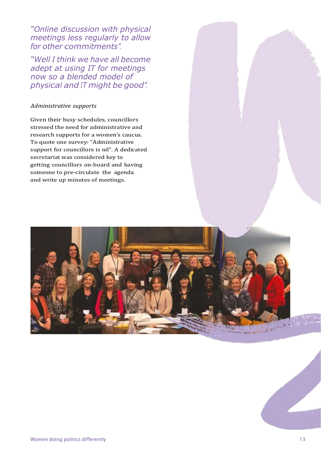*"Online discussion with physical meetings less regularly to allow for other commitments".*

*"Well I think we have all become adept at using IT for meetings now so a blended model of physical and IT might be good".*

#### *Administrative supports*

Given their busy schedules, councillors stressed the need for administrative and research supports for a women's caucus. To quote one survey: "Administrative support for councillors is nil". A dedicated secretariat was considered key to getting councillors on-board and having someone to pre-circulate the agenda and write up minutes of meetings.

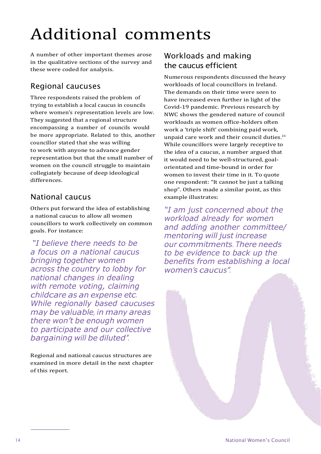# <span id="page-17-0"></span>Additional comments

A number of other important themes arose in the qualitative sections of the survey and these were coded for analysis.

# Regional caucuses

Three respondents raised the problem of trying to establish a local caucus in councils where women's representation levels are low. They suggested that a regional structure encompassing a number of councils would be more appropriate. Related to this, another councillor stated that she was willing to work with anyone to advance gender representation but that the small number of women on the council struggle to maintain collegiately because of deep ideological differences.

### National caucus

Others put forward the idea of establishing a national caucus to allow all women councillors to work collectively on common goals. For instance:

*"I believe there needs to be a focus on a national caucus bringing together women across the country to lobby for national changes in dealing with remote voting, claiming childcare as an expense etc. While regionally based caucuses may be valuable, in many areas there won't be enough women to participate and our collective bargaining will be diluted".*

Regional and national caucus structures are examined in more detail in the next chapter of this report.

# Workloads and making the caucus efficient

Numerous respondents discussed the heavy workloads of local councillors in Ireland. The demands on their time were seen to have increased even further in light of the Covid-19 pandemic. Previous research by NWC shows the gendered nature of council workloads as women office-holders often work a 'triple shift' combining paid work, unpaid care work and their council duties.<sup>26</sup> While councillors were largely receptive to the idea of a caucus, a number argued that it would need to be well-structured, goalorientated and time-bound in order for women to invest their time in it. To quote one respondent: "It cannot be just a talking shop". Others made a similar point, as this example illustrates:

*"I am just concerned about the workload already for women and adding another committee/ mentoring will just increase our commitments. There needs to be evidence to back up the benefits from establishing a local women's caucus".*

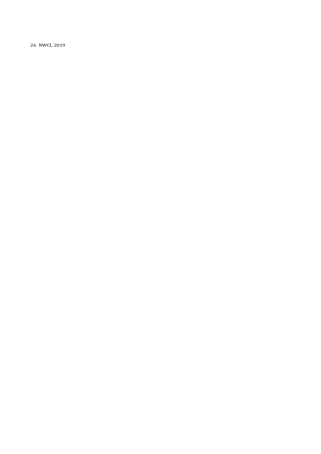26 NWCI, 2019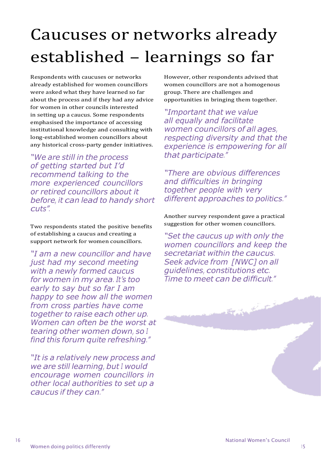# <span id="page-19-0"></span>Caucuses or networks already established – learnings so far

Respondents with caucuses or networks already established for women councillors were asked what they have learned so far about the process and if they had any advice for women in other councils interested in setting up a caucus. Some respondents emphasised the importance of accessing institutional knowledge and consulting with long-established women councillors about any historical cross-party gender initiatives.

*"We are still in the process of getting started but I'd recommend talking to the more experienced councillors or retired councillors about it before, it can lead to handy short cuts".*

Two respondents stated the positive benefits of establishing a caucus and creating a support network for women councillors.

*"I am a new councillor and have just had my second meeting with a newly formed caucus for women in my area. It's too early to say but so far I am happy to see how all the women from cross parties have come together to raise each other up. Women can often be the worst at tearing other women down, so <sup>I</sup> find this forum quite refreshing."*

*"It is a relatively new process and we are still learning, but <sup>I</sup> would encourage women councillors in other local authorities to set up a caucus if they can."*

However, other respondents advised that women councillors are not a homogenous group. There are challenges and opportunities in bringing them together.

*"Important that we value all equally and facilitate women councillors of all ages, respecting diversity and that the experience is empowering for all that participate."*

*"There are obvious differences and difficulties in bringing together people with very different approaches to politics."*

Another survey respondent gave a practical suggestion for other women councillors.

*"Set the caucus up with only the women councillors and keep the secretariat within the caucus. Seek advice from [NWC] on all guidelines, constitutions etc. Time to meet can be difficult."*

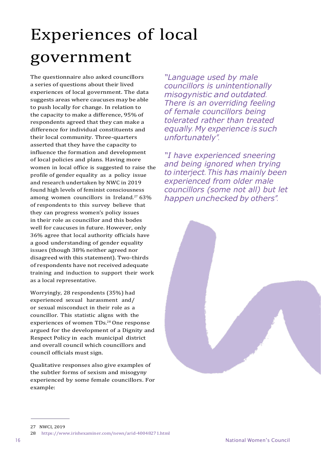# <span id="page-21-0"></span>Experiences of local government

The questionnaire also asked councillors a series of questions about their lived experiences of local government. The data suggests areas where caucuses may be able to push locally for change. In relation to the capacity to make a difference, 95% of respondents agreed that they can make a difference for individual constituents and their local community. Three-quarters asserted that they have the capacity to influence the formation and development of local policies and plans. Having more women in local office is suggested to raise the profile of gender equality as a policy issue and research undertaken by NWC in 2019 found high levels of feminist consciousness among women councillors in Ireland.<sup>27</sup> 63% of respondents to this survey believe that they can progress women's policy issues in their role as councillor and this bodes well for caucuses in future. However, only 36% agree that local authority officials have a good understanding of gender equality issues (though 38% neither agreed nor disagreed with this statement). Two-thirds of respondents have not received adequate training and induction to support their work as a local representative.

Worryingly, 28 respondents (35%) had experienced sexual harassment and/ or sexual misconduct in their role as a councillor. This statistic aligns with the experiences of women TDs.<sup>28</sup> One response argued for the development of a Dignity and Respect Policy in each municipal district and overall council which councillors and council officials must sign.

Qualitative responses also give examples of the subtler forms of sexism and misogyny experienced by some female councillors. For example:

*"Language used by male councillors is unintentionally misogynistic and outdated. There is an overriding feeling of female councillors being tolerated rather than treated equally. My experience is such unfortunately".*

*"I have experienced sneering and being ignored when trying to interject. This has mainly been experienced from older male councillors (some not all) but let happen unchecked by others".*



<sup>27</sup> NWCI, 2019

<sup>28</sup> https:/[/www.irishexaminer.com/news/arid-40048271.html](http://www.irishexaminer.com/news/arid-40048271.html)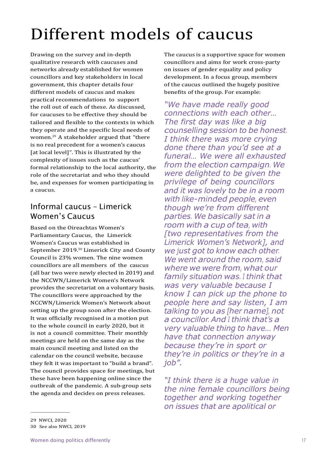# <span id="page-22-0"></span>Different models of caucus

Drawing on the survey and in-depth qualitative research with caucuses and networks already established for women councillors and key stakeholders in local government, this chapter details four different models of caucus and makes practical recommendations to support the roll out of each of these. As discussed, for caucuses to be effective they should be tailored and flexible to the contexts in which they operate and the specific local needs of women.29 A stakeholder argued that "there is no real precedent for a women's caucus [at local level]". This is illustrated by the complexity of issues such as the caucus' formal relationship to the local authority, the role of the secretariat and who they should be, and expenses for women participating in a caucus.

### Informal caucus – Limerick Women's Caucus

Based on the Oireachtas Women's Parliamentary Caucus, the Limerick Women's Caucus was established in September 2019.<sup>30</sup> Limerick City and County Council is 23% women. The nine women councillors are all members of the caucus (all bar two were newly elected in 2019) and the NCCWN/Limerick Women's Network provides the secretariat on a voluntary basis. The councillors were approached by the NCCWN/Limerick Women's Network about setting up the group soon after the election. It was officially recognised in a motion put to the whole council in early 2020, but it is not a council committee. Their monthly meetings are held on the same day as the main council meeting and listed on the calendar on the council website, because they felt it was important to "build a brand". The council provides space for meetings, but these have been happening online since the outbreak of the pandemic. A sub-group sets the agenda and decides on press releases.

The caucus is a supportive space for women councillors and aims for work cross-party on issues of gender equality and policy development. In a focus group, members of the caucus outlined the hugely positive benefits of the group. For example:

*"We have made really good connections with each other… The first day was like a big counselling session to be honest. I think there was more crying done there than you'd see at a funeral… We were all exhausted from the election campaign. We were delighted to be given the privilege of being councillors and it was lovely to be in a room with like-minded people, even though we're from different parties. We basically sat in a room with a cup of tea, with [two representatives from the Limerick Women's Network], and we just got to know each other. We went around the room, said where we were from, what our family situation was. <sup>I</sup> think that was very valuable because I know I can pick up the phone to people here and say listen, I am talking to you as [her name], not a councillor. And <sup>I</sup> think that's a very valuable thing to have… Men have that connection anyway because they're in sport or they're in politics or they're in a job".*

*"I think there is a huge value in the nine female councillors being together and working together on issues that are apolitical or*

<sup>29</sup> NWCI, 2020

<sup>30</sup> See also NWCI, 2019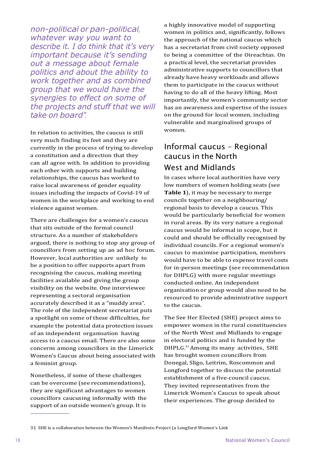*non-political or pan-political, whatever way you want to describe it. I do think that it's very important because it's sending out a message about female politics and about the ability to work together and as combined group that we would have the synergies to effect on some of the projects and stuff that we will take on board".*

In relation to activities, the caucus is still very much finding its feet and they are currently in the process of trying to develop a constitution and a direction that they can all agree with. In addition to providing each other with supports and building relationships, the caucus has worked to raise local awareness of gender equality issues including the impacts of Covid-19 of women in the workplace and working to end violence against women.

There are challenges for a women's caucus that sits outside of the formal council structure. As a number of stakeholders argued, there is nothing to stop any group of councillors from setting up an ad hoc forum. However, local authorities are unlikely to be a position to offer supports apart from recognising the caucus, making meeting facilities available and giving the group visibility on the website. One interviewee representing a sectoral organisation accurately described it as a "muddy area". The role of the independent secretariat puts a spotlight on some of these difficulties, for example the potential data protection issues of an independent organisation having access to a caucus email. There are also some concerns among councillors in the Limerick Women's Caucus about being associated with a feminist group.

Nonetheless, if some of these challenges can be overcome (see recommendations), they are significant advantages to women councillors caucusing informally with the support of an outside women's group. It is

a highly innovative model of supporting women in politics and, significantly, follows the approach of the national caucus which has a secretariat from civil society opposed to being a committee of the Oireachtas. On a practical level, the secretariat provides administrative supports to councillors that already have heavy workloads and allows them to participate in the caucus without having to do all of the heavy lifting. Most importantly, the women's community sector has an awareness and expertise of the issues on the ground for local women, including vulnerable and marginalised groups of women.

# Informal caucus – Regional caucus in the North West and Midlands

In cases where local authorities have very low numbers of women holding seats (see **Table 1**), it may be necessary to merge councils together on a neighbouring/ regional basis to develop a caucus. This would be particularly beneficial for women in rural areas. By its very nature a regional caucus would be informal in scope, but it could and should be officially recognised by individual councils. For a regional women's caucus to maximise participation, members would have to be able to expense travel costs for in-person meetings (see recommendation for DHPLG) with more regular meetings conducted online. An independent organisation or group would also need to be resourced to provide administrative support to the caucus.

The See Her Elected (SHE) project aims to empower women in the rural constituencies of the North West and Midlands to engage in electoral politics and is funded by the DHPLG.<sup>31</sup> Among its many activities, SHE has brought women councillors from Donegal, Sligo, Leitrim, Roscommon and Longford together to discuss the potential establishment of a five-council caucus. They invited representatives from the Limerick Women's Caucus to speak about their experiences. The group decided to

<sup>31</sup> SHE is a collaboration between the Women's Manifesto Project (a Longford Women's Link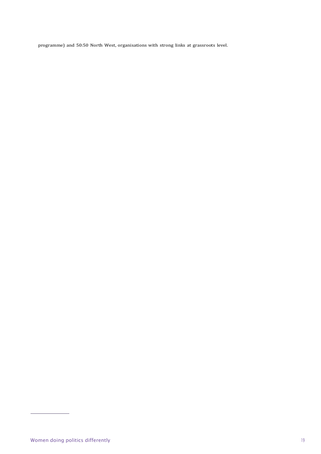programme) and 50:50 North West, organisations with strong links at grassroots level.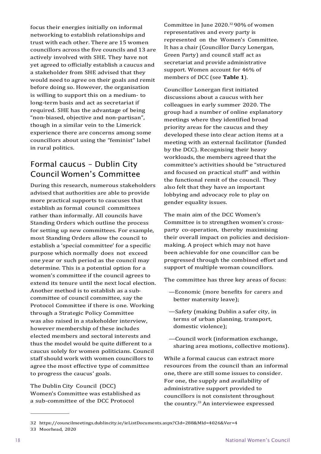focus their energies initially on informal networking to establish relationships and trust with each other. There are 15 women councillors across the five councils and 13 are actively involved with SHE. They have not yet agreed to officially establish a caucus and a stakeholder from SHE advised that they would need to agree on their goals and remit before doing so. However, the organisation is willing to support this on a medium- to long-term basis and act as secretariat if required. SHE has the advantage of being "non-biased, objective and non-partisan", though in a similar vein to the Limerick experience there are concerns among some councillors about using the "feminist" label in rural politics.

# Formal caucus – Dublin City Council Women's Committee

During this research, numerous stakeholders advised that authorities are able to provide more practical supports to caucuses that establish as formal council committees rather than informally. All councils have Standing Orders which outline the process for setting up new committees. For example, most Standing Orders allow the council to establish a 'special committee' for a specific purpose which normally does not exceed one year or such period as the council may determine. This is a potential option for a women's committee if the council agrees to extend its tenure until the next local election. Another method is to establish as a subcommittee of council committee, say the Protocol Committee if there is one. Working through a Strategic Policy Committee was also raised in a stakeholder interview, however membership of these includes elected members and sectoral interests and thus the model would be quite different to a caucus solely for women politicians. Council staff should work with women councillors to agree the most effective type of committee to progress the caucus' goals.

The Dublin City Council (DCC) Women's Committee was established as a sub-committee of the DCC Protocol

Committee in June 2020.<sup>32</sup> 90% of women representatives and every party is represented on the Women's Committee. It has a chair (Councillor Darcy Lonergan, Green Party) and council staff act as secretariat and provide administrative support. Women account for 46% of members of DCC (see **Table 1**).

Councillor Lonergan first initiated discussions about a caucus with her colleagues in early summer 2020. The group had a number of online explanatory meetings where they identified broad priority areas for the caucus and they developed these into clear action items at a meeting with an external facilitator (funded by the DCC). Recognising their heavy workloads, the members agreed that the committee's activities should be "structured and focused on practical stuff" and within the functional remit of the council. They also felt that they have an important lobbying and advocacy role to play on gender equality issues.

The main aim of the DCC Women's Committee is to strengthen women's crossparty co-operation, thereby maximising their overall impact on policies and decisionmaking. A project which may not have been achievable for one councillor can be progressed through the combined effort and support of multiple woman councillors.

The committee has three key areas of focus:

- —Economic (more benefits for carers and better maternity leave);
- —Safety (making Dublin a safer city, in terms of urban planning, transport, domestic violence);
- —Council work (information exchange, sharing area motions, collective motions).

While a formal caucus can extract more resources from the council than an informal one, there are still some issues to consider. For one, the supply and availability of administrative support provided to councillors is not consistent throughout the country.33An interviewee expressed

33 Moorhead, 2020

<sup>32</sup> https://councilmeetings.dublincity.ie/ieListDocuments.aspx?CId=288&MId=4026&Ver=4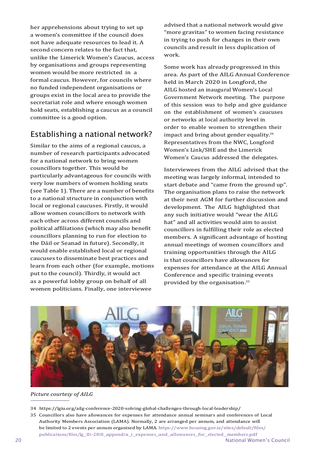her apprehensions about trying to set up a women's committee if the council does not have adequate resources to lead it. A second concern relates to the fact that, unlike the Limerick Women's Caucus, access by organisations and groups representing women would be more restricted in a formal caucus. However, for councils where no funded independent organisations or groups exist in the local area to provide the secretariat role and where enough women hold seats, establishing a caucus as a council committee is a good option.

# Establishing a national network?

Similar to the aims of a regional caucus, a number of research participants advocated for a national network to bring women councillors together. This would be particularly advantageous for councils with very low numbers of women holding seats (see Table 1). There are a number of benefits to a national structure in conjunction with local or regional caucuses. Firstly, it would allow women councillors to network with each other across different councils and political affiliations (which may also benefit councillors planning to run for election to the Dáil or Seanad in future). Secondly, it would enable established local or regional caucuses to disseminate best practices and learn from each other (for example, motions put to the council). Thirdly, it would act as a powerful lobby group on behalf of all women politicians. Finally, one interviewee

advised that a national network would give "more gravitas" to women facing resistance in trying to push for changes in their own councils and result in less duplication of work.

Some work has already progressed in this area. As part of the AILG Annual Conference held in March 2020 in Longford, the AILG hosted an inaugural Women's Local Government Network meeting. The purpose of this session was to help and give guidance on the establishment of women's caucuses or networks at local authority level in order to enable women to strengthen their impact and bring about gender equality.<sup>34</sup> Representatives from the NWC, Longford Women's Link/SHE and the Limerick Women's Caucus addressed the delegates.

Interviewees from the AILG advised that the meeting was largely informal, intended to start debate and "came from the ground up". The organisation plans to raise the network at their next AGM for further discussion and development. The AILG highlighted that any such initiative would "wear the AILG hat" and all activities would aim to assist councillors in fulfilling their role as elected members. A significant advantage of hosting annual meetings of women councillors and training opportunities through the AILG is that councillors have allowances for expenses for attendance at the AILG Annual Conference and specific training events provided by the organisation.<sup>35</sup>



#### *Picture courtesy of AILG*

- 34 https://lgiu.org/ailg-conference-2020-solving-global-challenges-through-local-leadership/
- 35 Councillors also have allowances for expenses for attendance annual seminars and conferences of Local Authority Members Association (LAMA). Normally, 2 are arranged per annum, and attendance will be limited to 2 events per annum organised by LAMA[. https://www.housing.gov.ie/sites/default/files/](https://www.housing.gov.ie/sites/default/files/publications/files/lg_01-2018_appendix_i_expenses_and_allowances_for_elected_members.pdf) [publications/files/lg\\_01-2018\\_appendix\\_i\\_expenses\\_and\\_allowances\\_for\\_elected\\_members.pdf](https://www.housing.gov.ie/sites/default/files/publications/files/lg_01-2018_appendix_i_expenses_and_allowances_for_elected_members.pdf)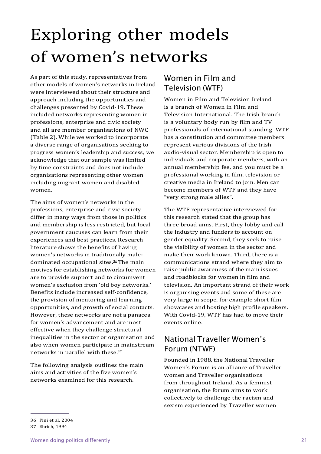# <span id="page-28-0"></span>Exploring other models of women's networks

As part of this study, representatives from other models of women's networks in Ireland were interviewed about their structure and approach including the opportunities and challenges presented by Covid-19. These included networks representing women in professions, enterprise and civic society and all are member organisations of NWC (Table 2). While we worked to incorporate a diverse range of organisations seeking to progress women's leadership and success, we acknowledge that our sample was limited by time constraints and does not include organisations representing other women including migrant women and disabled women.

The aims of women's networks in the professions, enterprise and civic society differ in many ways from those in politics and membership is less restricted, but local government caucuses can learn from their experiences and best practices. Research literature shows the benefits of having women's networks in traditionally maledominated occupational sites. $36$ The main motives for establishing networks for women are to provide support and to circumvent women's exclusion from 'old boy networks.' Benefits include increased self-confidence, the provision of mentoring and learning opportunities, and growth of social contacts. However, these networks are not a panacea for women's advancement and are most effective when they challenge structural inequalities in the sector or organisation and also when women participate in mainstream networks in parallel with these.<sup>37</sup>

The following analysis outlines the main aims and activities of the five women's networks examined for this research.

# Women in Film and Television (WTF)

Women in Film and Television Ireland is a branch of Women in Film and Television International. The Irish branch is a voluntary body run by film and TV professionals of international standing. WTF has a constitution and committee members represent various divisions of the Irish audio-visual sector. Membership is open to individuals and corporate members, with an annual membership fee, and you must be a professional working in film, television or creative media in Ireland to join. Men can become members of WTF and they have "very strong male allies".

The WTF representative interviewed for this research stated that the group has three broad aims. First, they lobby and call the industry and funders to account on gender equality. Second, they seek to raise the visibility of women in the sector and make their work known. Third, there is a communications strand where they aim to raise public awareness of the main issues and roadblocks for women in film and television. An important strand of their work is organising events and some of these are very large in scope, for example short film showcases and hosting high profile speakers. With Covid-19, WTF has had to move their events online.

# National Traveller Women's Forum (NTWF)

Founded in 1988, the National Traveller Women's Forum is an alliance of Traveller women and Traveller organisations from throughout Ireland. As a feminist organisation, the forum aims to work collectively to challenge the racism and sexism experienced by Traveller women

<sup>36</sup> Pini et al, 2004

<sup>37</sup> Ehrich, 1994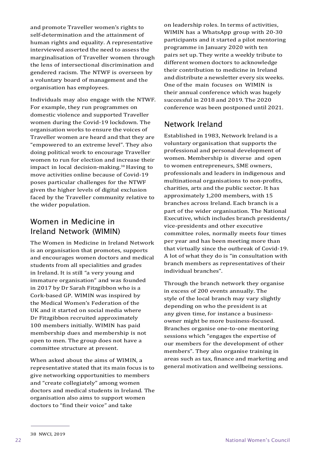and promote Traveller women's rights to self-determination and the attainment of human rights and equality. A representative interviewed asserted the need to assess the marginalisation of Traveller women through the lens of intersectional discrimination and gendered racism. The NTWF is overseen by a voluntary board of management and the organisation has employees.

Individuals may also engage with the NTWF. For example, they run programmes on domestic violence and supported Traveller women during the Covid-19 lockdown. The organisation works to ensure the voices of Traveller women are heard and that they are "empowered to an extreme level". They also doing political work to encourage Traveller women to run for election and increase their impact in local decision-making.<sup>38</sup> Having to move activities online because of Covid-19 poses particular challenges for the NTWF given the higher levels of digital exclusion faced by the Traveller community relative to the wider population.

### Women in Medicine in Ireland Network (WIMIN)

The Women in Medicine in Ireland Network is an organisation that promotes, supports and encourages women doctors and medical students from all specialities and grades in Ireland. It is still "a very young and immature organisation" and was founded in 2017 by Dr Sarah Fitzgibbon who is a Cork-based GP. WIMIN was inspired by the Medical Women's Federation of the UK and it started on social media where Dr Fitzgibbon recruited approximately 100 members initially. WIMIN has paid membership dues and membership is not open to men. The group does not have a committee structure at present.

When asked about the aims of WIMIN, a representative stated that its main focus is to give networking opportunities to members and "create collegiately" among women doctors and medical students in Ireland. The organisation also aims to support women doctors to "find their voice" and take

on leadership roles. In terms of activities, WIMIN has a WhatsApp group with 20-30 participants and it started a pilot mentoring programme in January 2020 with ten pairs set up. They write a weekly tribute to different women doctors to acknowledge their contribution to medicine in Ireland and distribute a newsletter every six weeks. One of the main focuses on WIMIN is their annual conference which was hugely successful in 2018 and 2019. The 2020 conference was been postponed until 2021.

# Network Ireland

Established in 1983, Network Ireland is a voluntary organisation that supports the professional and personal development of women. Membership is diverse and open to women entrepreneurs, SME owners, professionals and leaders in indigenous and multinational organisations to non-profits, charities, arts and the public sector. It has approximately 1,200 members, with 15 branches across Ireland. Each branch is a part of the wider organisation. The National Executive, which includes branch presidents/ vice-presidents and other executive committee roles, normally meets four times per year and has been meeting more than that virtually since the outbreak of Covid-19. A lot of what they do is "in consultation with branch members as representatives of their individual branches".

Through the branch network they organise in excess of 200 events annually. The style of the local branch may vary slightly depending on who the president is at any given time, for instance a businessowner might be more business-focused. Branches organise one-to-one mentoring sessions which "engages the expertise of our members for the development of other members". They also organise training in areas such as tax, finance and marketing and general motivation and wellbeing sessions.

38 NWCI, 2019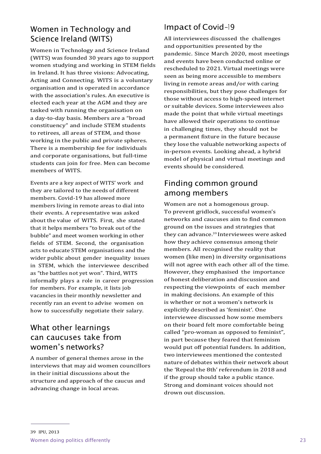# Women in Technology and Science Ireland (WITS)

Women in Technology and Science Ireland (WITS) was founded 30 years ago to support women studying and working in STEM fields in Ireland. It has three visions: Advocating, Acting and Connecting. WITS is a voluntary organisation and is operated in accordance with the association's rules. An executive is elected each year at the AGM and they are tasked with running the organisation on a day-to-day basis. Members are a "broad constituency" and include STEM students to retirees, all areas of STEM, and those working in the public and private spheres. There is a membership fee for individuals and corporate organisations, but full-time students can join for free. Men can become members of WITS.

Events are a key aspect of WITS' work and they are tailored to the needs of different members. Covid-19 has allowed more members living in remote areas to dial into their events. A representative was asked about the value of WITS. First, she stated that it helps members "to break out of the bubble" and meet women working in other fields of STEM. Second, the organisation acts to educate STEM organisations and the wider public about gender inequality issues in STEM, which the interviewee described as "the battles not yet won". Third, WITS informally plays a role in career progression for members. For example, it lists job vacancies in their monthly newsletter and recently ran an event to advise women on how to successfully negotiate their salary.

# What other learnings can caucuses take from women's networks?

A number of general themes arose in the interviews that may aid women councillors in their initial discussions about the structure and approach of the caucus and advancing change in local areas.

# Impact of Covid-19

All interviewees discussed the challenges and opportunities presented by the pandemic. Since March 2020, most meetings and events have been conducted online or rescheduled to 2021. Virtual meetings were seen as being more accessible to members living in remote areas and/or with caring responsibilities, but they pose challenges for those without access to high-speed internet or suitable devices. Some interviewees also made the point that while virtual meetings have allowed their operations to continue in challenging times, they should not be a permanent fixture in the future because they lose the valuable networking aspects of in-person events. Looking ahead, a hybrid model of physical and virtual meetings and events should be considered.

# Finding common ground among members

Women are not a homogenous group. To prevent gridlock, successful women's networks and caucuses aim to find common ground on the issues and strategies that they can advance.<sup>39</sup> Interviewees were asked how they achieve consensus among their members. All recognised the reality that women (like men) in diversity organisations will not agree with each other all of the time. However, they emphasised the importance of honest deliberation and discussion and respecting the viewpoints of each member in making decisions. An example of this is whether or not a women's network is explicitly described as 'feminist'. One interviewee discussed how some members on their board felt more comfortable being called "pro-woman as opposed to feminist", in part because they feared that feminism would put off potential funders. In addition, two interviewees mentioned the contested nature of debates within their network about the 'Repeal the 8th' referendum in 2018 and if the group should take a public stance. Strong and dominant voices should not drown out discussion.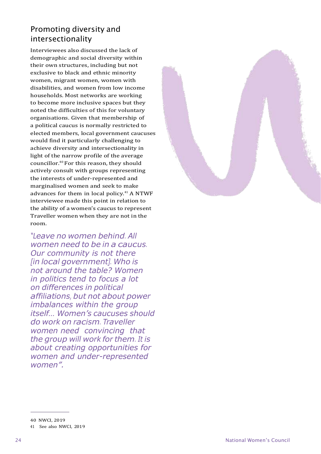# Promoting diversity and intersectionality

Interviewees also discussed the lack of demographic and social diversity within their own structures, including but not exclusive to black and ethnic minority women, migrant women, women with disabilities, and women from low income households. Most networks are working to become more inclusive spaces but they noted the difficulties of this for voluntary organisations. Given that membership of a political caucus is normally restricted to elected members, local government caucuses would find it particularly challenging to achieve diversity and intersectionality in light of the narrow profile of the average councillor.<sup>40</sup> For this reason, they should actively consult with groups representing the interests of under-represented and marginalised women and seek to make advances for them in local policy. $41$  A NTWF interviewee made this point in relation to the ability of a women's caucus to represent Traveller women when they are not in the room.

*"Leave no women behind. All women need to be in a caucus. Our community is not there [in local government]. Who is not around the table? Women in politics tend to focus a lot on differences in political affiliations, but not about power imbalances within the group itself… Women's caucuses should do work on racism. Traveller women need convincing that the group will work for them. It is about creating opportunities for women and under-represented women".*



<sup>40</sup> NWCI, 2019

<sup>41</sup> See also NWCI, 2019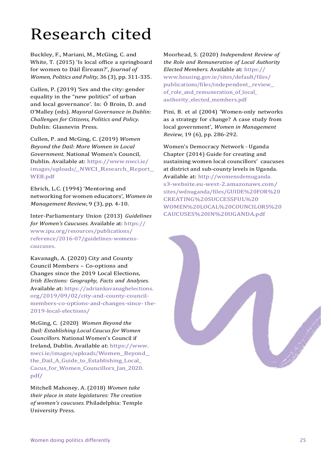# <span id="page-32-0"></span>Research cited

Buckley, F., Mariani, M., McGing, C. and White, T. (2015) 'Is local office a springboard for women to Dáil Éireann?', *Journal of Women, Politics and Polity,* 36 (3), pp. 311-335.

Cullen, P. (2019) 'Sex and the city: gender equality in the "new politics" of urban and local governance'. In: Ó Broin, D. and O'Malley (eds). *Mayoral Governance in Dublin: Challenges for Citizens, Politics and Policy.* Dublin: Glasnevin Press.

Cullen, P. and McGing, C. (2019) *Women Beyond the Dail: More Women in Local Government.* National Women's Council, Dublin. Available at: [https://www.nwci.ie/](https://www.nwci.ie/images/uploads/_NWCI_Research_Report_WEB.pdf) [images/uploads/\\_NWCI\\_Research\\_Report\\_](https://www.nwci.ie/images/uploads/_NWCI_Research_Report_WEB.pdf) [WEB.pdf](https://www.nwci.ie/images/uploads/_NWCI_Research_Report_WEB.pdf)

Ehrich, L.C. (1994) 'Mentoring and networking for women educators', *Women in Management Review,* 9 (3), pp. 4-10.

Inter-Parliamentary Union (2013) *Guidelines for Women's Caucuses.* Available at: [https://](https://www.ipu.org/resources/publications/reference/2016-07/guidelines-womens-caucuses) [www.ipu.org/resources/publications/](https://www.ipu.org/resources/publications/reference/2016-07/guidelines-womens-caucuses) [reference/2016-07/guidelines-womens](https://www.ipu.org/resources/publications/reference/2016-07/guidelines-womens-caucuses)[caucuses.](https://www.ipu.org/resources/publications/reference/2016-07/guidelines-womens-caucuses)

Kavanagh, A. (2020) City and County Council Members – Co-options and Changes since the 2019 Local Elections, *Irish Elections: Geography, Facts and Analyses.* Available at: [https://adriankavanaghelections.](https://adriankavanaghelections.org/2019/09/02/city-and-county-council-members-co-options-and-changes-since-the-2019-local-elections/) [org/2019/09/02/city-and-county-council](https://adriankavanaghelections.org/2019/09/02/city-and-county-council-members-co-options-and-changes-since-the-2019-local-elections/)[members-co-options-and-changes-since-](https://adriankavanaghelections.org/2019/09/02/city-and-county-council-members-co-options-and-changes-since-the-2019-local-elections/) [the-](https://adriankavanaghelections.org/2019/09/02/city-and-county-council-members-co-options-and-changes-since-the-2019-local-elections/)[2019-local-elections/](https://adriankavanaghelections.org/2019/09/02/city-and-county-council-members-co-options-and-changes-since-the-2019-local-elections/)

McGing, C. (2020) *Women Beyond the Dail: Establishing Local Caucus for Women Councillors.* National Women's Council if Ireland, Dublin. Available at: [https://www.](https://www.nwci.ie/images/uploads/Women_Beyond_the_Dail_A_Guide_to_Establishing_Local_Cacus_for_Women_Councillors_Jan_2020.pdf/) [nwci.ie/images/uploads/Women\\_Beyond\\_](https://www.nwci.ie/images/uploads/Women_Beyond_the_Dail_A_Guide_to_Establishing_Local_Cacus_for_Women_Councillors_Jan_2020.pdf/) [the\\_Dail\\_A\\_Guide\\_to\\_Establishing\\_Local\\_](https://www.nwci.ie/images/uploads/Women_Beyond_the_Dail_A_Guide_to_Establishing_Local_Cacus_for_Women_Councillors_Jan_2020.pdf/) [Cacus\\_for\\_Women\\_Councillors\\_Jan\\_2020.](https://www.nwci.ie/images/uploads/Women_Beyond_the_Dail_A_Guide_to_Establishing_Local_Cacus_for_Women_Councillors_Jan_2020.pdf/) [pdf/](https://www.nwci.ie/images/uploads/Women_Beyond_the_Dail_A_Guide_to_Establishing_Local_Cacus_for_Women_Councillors_Jan_2020.pdf/)

Mitchell Mahoney, A. (2018) *Women take their place in state legislatures: The creation of women's caucuses.* Philadelphia: Temple University Press.

Moorhead, S. (2020) *Independent Review of the Role and Remuneration of Local Authority Elected Members.* Available at: [https://](https://www.housing.gov.ie/sites/default/files/publications/files/independent_review_of_role_and_remuneration_of_local_authority_elected_members.pdf) [www.housing.gov.ie/sites/default/files/](https://www.housing.gov.ie/sites/default/files/publications/files/independent_review_of_role_and_remuneration_of_local_authority_elected_members.pdf) [publications/files/independent\\_review\\_](https://www.housing.gov.ie/sites/default/files/publications/files/independent_review_of_role_and_remuneration_of_local_authority_elected_members.pdf) [of\\_role\\_and\\_remuneration\\_of\\_local\\_](https://www.housing.gov.ie/sites/default/files/publications/files/independent_review_of_role_and_remuneration_of_local_authority_elected_members.pdf) [authority\\_elected\\_members.pdf](https://www.housing.gov.ie/sites/default/files/publications/files/independent_review_of_role_and_remuneration_of_local_authority_elected_members.pdf)

Pini, B. et al (2004) 'Women-only networks as a strategy for change? A case study from local government', *Women in Management Review,* 19 (6), pp. 286-292.

Women's Democracy Network - Uganda Chapter (2014) Guide for creating and sustaining women local councillors' caucuses at district and sub-county levels in Uganda. Available at: [http://womensdemuganda.](http://womensdemuganda.s3-website.eu-west-2.amazonaws.com/sites/wdnuganda/files/GUIDE%20FOR%20CREATING%20SUCCESSFUL%20WOMEN%20LOCAL%20COUNCILORS%20CAUCUSES%20IN%20UGANDA.pdf) [s3-website.eu-west-2.amazonaws.com/](http://womensdemuganda.s3-website.eu-west-2.amazonaws.com/sites/wdnuganda/files/GUIDE%20FOR%20CREATING%20SUCCESSFUL%20WOMEN%20LOCAL%20COUNCILORS%20CAUCUSES%20IN%20UGANDA.pdf) [sites/wdnuganda/files/GUIDE%20FOR%20](http://womensdemuganda.s3-website.eu-west-2.amazonaws.com/sites/wdnuganda/files/GUIDE%20FOR%20CREATING%20SUCCESSFUL%20WOMEN%20LOCAL%20COUNCILORS%20CAUCUSES%20IN%20UGANDA.pdf) [CREATING%20SUCCESSFUL%20](http://womensdemuganda.s3-website.eu-west-2.amazonaws.com/sites/wdnuganda/files/GUIDE%20FOR%20CREATING%20SUCCESSFUL%20WOMEN%20LOCAL%20COUNCILORS%20CAUCUSES%20IN%20UGANDA.pdf) [WOMEN%20LOCAL%20COUNCILORS%20](http://womensdemuganda.s3-website.eu-west-2.amazonaws.com/sites/wdnuganda/files/GUIDE%20FOR%20CREATING%20SUCCESSFUL%20WOMEN%20LOCAL%20COUNCILORS%20CAUCUSES%20IN%20UGANDA.pdf) [CAUCUSES%20IN%20UGANDA.pdf](http://womensdemuganda.s3-website.eu-west-2.amazonaws.com/sites/wdnuganda/files/GUIDE%20FOR%20CREATING%20SUCCESSFUL%20WOMEN%20LOCAL%20COUNCILORS%20CAUCUSES%20IN%20UGANDA.pdf)

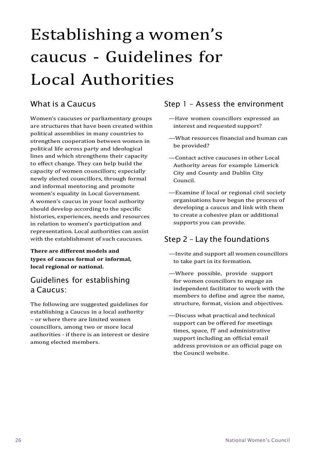# Establishing a women's caucus - Guidelines for Local Authorities

# What is a Caucus

Women's caucuses or parliamentary groups are structures that have been created within political assemblies in many countries to strengthen cooperation between women in political life across party and ideological lines and which strengthens their capacity to effect change. They can help build the capacity of women councillors; especially newly elected councillors, through formal and informal mentoring and promote women's equality in Local Government. A women's caucus in your local authority should develop according to the specific histories, experiences, needs and resources in relation to women's participation and representation. Local authorities can assist with the establishment of such caucuses.

**There are different models and types of caucus formal or informal, local regional or national.**

### Guidelines for establishing a Caucus:

The following are suggested guidelines for establishing a Caucus in a local authority – or where there are limited women councillors, among two or more local authorities - if there is an interest or desire among elected members.

### Step 1 – Assess the environment

- —Have women councillors expressed an interest and requested support?
- —What resources financial and human can be provided?
- —Contact active caucuses in other Local Authority areas for example Limerick City and County and Dublin City Council.
- —Examine if local or regional civil society organisations have begun the process of developing a caucus and link with them to create a cohesive plan or additional supports you can provide.

# Step 2 – Lay the foundations

- —Invite and support all women councillors to take part in its formation.
- —Where possible, provide support for women councillors to engage an independent facilitator to work with the members to define and agree the name, structure, format, vision and objectives.
- —Discuss what practical and technical support can be offered for meetings times, space, IT and administrative support including an official email address provision or an official page on the Council website.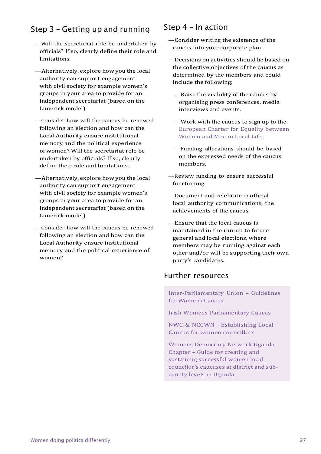# Step 3 – Getting up and running

- —Will the secretariat role be undertaken by officials? If so, clearly define their role and limitations.
- —Alternatively, explore how you the local authority can support engagement with civil society for example women's groups in your area to provide for an independent secretariat (based on the Limerick model).
- —Consider how will the caucus be renewed following an election and how can the Local Authority ensure institutional memory and the political experience of women? Will the secretariat role be undertaken by officials? If so, clearly define their role and limitations.
- —Alternatively, explore how you the local authority can support engagement with civil society for example women's groups in your area to provide for an independent secretariat (based on the Limerick model).
- —Consider how will the caucus be renewed following an election and how can the Local Authority ensure institutional memory and the political experience of women?

### Step 4 – In action

- —Consider writing the existence of the caucus into your corporate plan.
- —Decisions on activities should be based on the collective objectives of the caucus as determined by the members and could include the following;
	- —Raise the visibility of the caucus by organising press conferences, media interviews and events.
	- —Work with the caucus to sign up to the [European](https://charter-equality.eu/) Charter for Equality between [Women](https://charter-equality.eu/) and Men in Local Life.
	- —Funding allocations should be based on the expressed needs of the caucus members.
- —Review funding to ensure successful functioning.
- —Document and celebrate in official local authority communications, the achievements of the caucus.
- —Ensure that the local caucus is maintained in the run-up to future general and local elections, where members may be running against each other and/or will be supporting their own party's candidates.

### Further resources

[Inter-Parliamentary](https://www.ipu.org/resources/publications/reference/2016-07/guidelines-womens-caucuses) Union – Guidelines for [Womens](https://www.ipu.org/resources/publications/reference/2016-07/guidelines-womens-caucuses) Caucus

Irish Womens [Parliamentary](https://www.oireachtas.ie/en/members/womens-caucus/) Caucus

NWC & NCCWN - [Establishing](https://www.nwci.ie/images/uploads/Women_Beyond_the_Dail_A_Guide_to_Establishing_Local_Cacus_for_Women_Councillors_Jan_2020.pdf) Local Caucus for women [councillors](https://www.nwci.ie/images/uploads/Women_Beyond_the_Dail_A_Guide_to_Establishing_Local_Cacus_for_Women_Councillors_Jan_2020.pdf)

Womens [Democracy](http://womensdemuganda.s3-website.eu-west-2.amazonaws.com/sites/wdnuganda/files/GUIDE%20FOR%20CREATING%20SUCCESSFUL%20WOMEN%20LOCAL%20COUNCILORS%20CAUCUSES%20IN%20UGANDA.pdf) Network Uganda Chapter – Guide for [creating](http://womensdemuganda.s3-website.eu-west-2.amazonaws.com/sites/wdnuganda/files/GUIDE%20FOR%20CREATING%20SUCCESSFUL%20WOMEN%20LOCAL%20COUNCILORS%20CAUCUSES%20IN%20UGANDA.pdf) and [sustaining](http://womensdemuganda.s3-website.eu-west-2.amazonaws.com/sites/wdnuganda/files/GUIDE%20FOR%20CREATING%20SUCCESSFUL%20WOMEN%20LOCAL%20COUNCILORS%20CAUCUSES%20IN%20UGANDA.pdf) successful women local [councilor's caucuses at distr](http://womensdemuganda.s3-website.eu-west-2.amazonaws.com/sites/wdnuganda/files/GUIDE%20FOR%20CREATING%20SUCCESSFUL%20WOMEN%20LOCAL%20COUNCILORS%20CAUCUSES%20IN%20UGANDA.pdf)ict and subcounty levels in [Uganda](http://womensdemuganda.s3-website.eu-west-2.amazonaws.com/sites/wdnuganda/files/GUIDE%20FOR%20CREATING%20SUCCESSFUL%20WOMEN%20LOCAL%20COUNCILORS%20CAUCUSES%20IN%20UGANDA.pdf)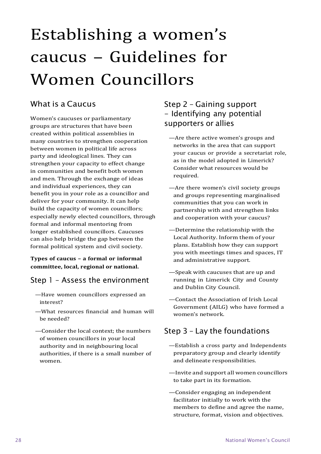# Establishing a women's caucus – Guidelines for Women Councillors

# What is a Caucus

Women's caucuses or parliamentary groups are structures that have been created within political assemblies in many countries to strengthen cooperation between women in political life across party and ideological lines. They can strengthen your capacity to effect change in communities and benefit both women and men. Through the exchange of ideas and individual experiences, they can benefit you in your role as a councillor and deliver for your community. It can help build the capacity of women councillors; especially newly elected councillors, through formal and informal mentoring from longer established councillors. Caucuses can also help bridge the gap between the formal political system and civil society.

**Types of caucus – a formal or informal committee, local, regional or national.**

# Step 1 – Assess the environment

- —Have women councillors expressed an interest?
- —What resources financial and human will be needed?
- —Consider the local context; the numbers of women councillors in your local authority and in neighbouring local authorities, if there is a small number of women.

### Step 2 – Gaining support - Identifying any potential supporters or allies

- —Are there active women's groups and networks in the area that can support your caucus or provide a secretariat role, as in the model adopted in Limerick? Consider what resources would be required.
- —Are there women's civil society groups and groups representing marginalised communities that you can work in partnership with and strengthen links and cooperation with your caucus?
- —Determine the relationship with the Local Authority. Inform them of your plans. Establish how they can support you with meetings times and spaces, IT and administrative support.
- —Speak with caucuses that are up and running in Limerick City and County and Dublin City Council.
- —Contact the Association of Irish Local Government (AILG) who have formed a women's network.

# Step 3 – Lay the foundations

- —Establish a cross party and Independents preparatory group and clearly identify and delineate responsibilities.
- —Invite and support all women councillors to take part in its formation.
- —Consider engaging an independent facilitator initially to work with the members to define and agree the name, structure, format, vision and objectives.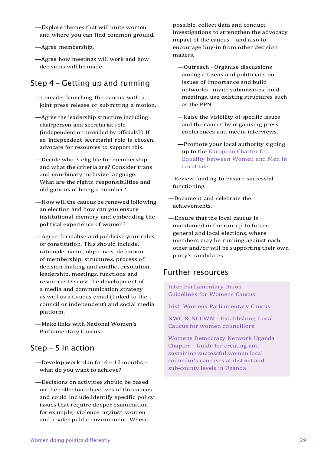- —Explore themes that will unite women and where you can find common ground.
- —Agree membership.
- —Agree how meetings will work and how decisions will be made.

# Step 4 – Getting up and running

- —Consider launching the caucus with a joint press release or submitting a motion.
- —Agree the leadership structure including chairperson and secretariat role (independent or provided by officials?) If an independent secretarial role is chosen, advocate for resources to support this.
- —Decide who is eligible for membership and what the criteria are? Consider trans and non-binary inclusive language. What are the rights, responsibilities and obligations of being a member?
- —How will the caucus be renewed following an election and how can you ensure institutional memory and embedding the political experience of women?
- —Agree, formalise and publicise your rules or constitution. This should include, rationale, name, objectives, definition of membership, structures, process of decision making and conflict resolution, leadership, meetings, functions and resources.Discuss the development of a media and communication strategy as well as a Caucus email (linked to the council or independent) and social media platform.
- —Make links with National Women's Parliamentary Caucus.

### Step – 5 In action

- —Develop work plan for 6 12 months what do you want to achieve?
- —Decisions on activities should be based on the collective objectives of the caucus and could include:Identify specific policy issues that require deeper examination for example, violence against women and a safer public environment. Where

possible, collect data and conduct investigations to strengthen the advocacy impact of the caucus – and also to encourage buy-in from other decision makers.

- —Outreach Organise discussions among citizens and politicians on issues of importance and build networks– invite submissions, hold meetings, use existing structures such as the PPN.
- —Raise the visibility of specific issues and the caucus by organising press conferences and media interviews.
- —Promote your local authority signing up to the [European](https://charter-equality.eu/) Charter for Equality [between](https://charter-equality.eu/) Women and Men in [Local](https://charter-equality.eu/) Life.
- —Review funding to ensure successful functioning.
- —Document and celebrate the achievements.
- —Ensure that the local caucus is maintained in the run-up to future general and local elections, where members may be running against each other and/or will be supporting their own party's candidates.

### Further resources

[Inter-Parliamentary](https://www.ipu.org/resources/publications/reference/2016-07/guidelines-womens-caucuses) Union – [Guidelines](https://www.ipu.org/resources/publications/reference/2016-07/guidelines-womens-caucuses) for Womens Caucus

Irish Womens [Parliamentary](https://www.oireachtas.ie/en/members/womens-caucus/) Caucus

NWC & NCCWN - [Establishing](https://www.nwci.ie/images/uploads/Women_Beyond_the_Dail_A_Guide_to_Establishing_Local_Cacus_for_Women_Councillors_Jan_2020.pdf) Local Caucus for women [councillors](https://www.nwci.ie/images/uploads/Women_Beyond_the_Dail_A_Guide_to_Establishing_Local_Cacus_for_Women_Councillors_Jan_2020.pdf)

Womens [Democracy](http://womensdemuganda.s3-website.eu-west-2.amazonaws.com/sites/wdnuganda/files/GUIDE%20FOR%20CREATING%20SUCCESSFUL%20WOMEN%20LOCAL%20COUNCILORS%20CAUCUSES%20IN%20UGANDA.pdf) Network Uganda Chapter – Guide for [creating](http://womensdemuganda.s3-website.eu-west-2.amazonaws.com/sites/wdnuganda/files/GUIDE%20FOR%20CREATING%20SUCCESSFUL%20WOMEN%20LOCAL%20COUNCILORS%20CAUCUSES%20IN%20UGANDA.pdf) and [sustaining](http://womensdemuganda.s3-website.eu-west-2.amazonaws.com/sites/wdnuganda/files/GUIDE%20FOR%20CREATING%20SUCCESSFUL%20WOMEN%20LOCAL%20COUNCILORS%20CAUCUSES%20IN%20UGANDA.pdf) successful women local [councilor's](http://womensdemuganda.s3-website.eu-west-2.amazonaws.com/sites/wdnuganda/files/GUIDE%20FOR%20CREATING%20SUCCESSFUL%20WOMEN%20LOCAL%20COUNCILORS%20CAUCUSES%20IN%20UGANDA.pdf) caucuses at district and [sub-county](http://womensdemuganda.s3-website.eu-west-2.amazonaws.com/sites/wdnuganda/files/GUIDE%20FOR%20CREATING%20SUCCESSFUL%20WOMEN%20LOCAL%20COUNCILORS%20CAUCUSES%20IN%20UGANDA.pdf) levels in Uganda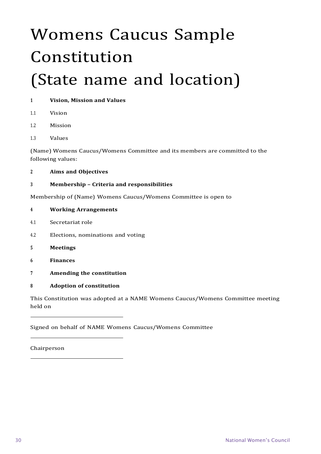# <span id="page-37-0"></span>Womens Caucus Sample Constitution (State name and location)

- **<sup>1</sup> Vision, Mission and Values**
- 1.1 Vision
- 1.2 Mission
- 1.3 Values

(Name) Womens Caucus/Womens Committee and its members are committed to the following values:

**<sup>2</sup> Aims and Objectives**

#### **<sup>3</sup> Membership – Criteria and responsibilities**

Membership of (Name) Womens Caucus/Womens Committee is open to

#### **<sup>4</sup> Working Arrangements**

- 4.1 Secretariat role
- 4.2 Elections, nominations and voting
- **<sup>5</sup> Meetings**
- **<sup>6</sup> Finances**
- **<sup>7</sup> Amending the constitution**
- **<sup>8</sup> Adoption of constitution**

This Constitution was adopted at a NAME Womens Caucus/Womens Committee meeting held on

Signed on behalf of NAME Womens Caucus/Womens Committee

Chairperson